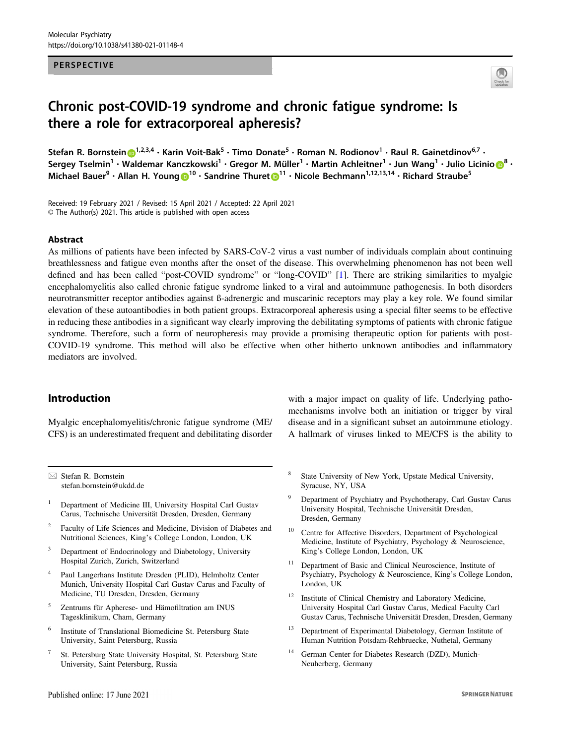#### PERSPECTIVE



# Chronic post-COVID-19 syndrome and chronic fatigue syndrome: Is there a role for extracorporeal apheresis?

Stefa[n](http://orcid.org/0000-0002-5211-2536) R. Bornstein D<sup>[1](http://orcid.org/0000-0002-5211-2536),2,3,4</sup> • Karin Voit-Bak<sup>5</sup> • Timo Donate<sup>5</sup> • Roman N. Rodionov<sup>1</sup> • Raul R. Gainetdinov<sup>6,7</sup> • Sergey Tselmin<sup>1</sup> • Waldemar Kanczk[o](http://orcid.org/0000-0001-6905-5884)wski<sup>1</sup> • Gregor M. Müller<sup>1</sup> • Martin Achleitner<sup>1</sup> • Jun Wang<sup>1</sup> • Julio Licinio <mark>OB •</mark> Michael Bauer<sup>9</sup> • Allan H. Young D<sup>[1](http://orcid.org/0000-0003-1260-8083)0</sup> • Sandrine Thuret D<sup>11</sup> • Nicole Bechmann<sup>1,12,13,14</sup> • Richard Straube<sup>5</sup>

Received: 19 February 2021 / Revised: 15 April 2021 / Accepted: 22 April 2021 © The Author(s) 2021. This article is published with open access

#### Abstract

As millions of patients have been infected by SARS-CoV-2 virus a vast number of individuals complain about continuing breathlessness and fatigue even months after the onset of the disease. This overwhelming phenomenon has not been well defined and has been called "post-COVID syndrome" or "long-COVID" [[1\]](#page-2-0). There are striking similarities to myalgic encephalomyelitis also called chronic fatigue syndrome linked to a viral and autoimmune pathogenesis. In both disorders neurotransmitter receptor antibodies against ß-adrenergic and muscarinic receptors may play a key role. We found similar elevation of these autoantibodies in both patient groups. Extracorporeal apheresis using a special filter seems to be effective in reducing these antibodies in a significant way clearly improving the debilitating symptoms of patients with chronic fatigue syndrome. Therefore, such a form of neuropheresis may provide a promising therapeutic option for patients with post-COVID-19 syndrome. This method will also be effective when other hitherto unknown antibodies and inflammatory mediators are involved.

## Introduction

Myalgic encephalomyelitis/chronic fatigue syndrome (ME/ CFS) is an underestimated frequent and debilitating disorder

 $\boxtimes$  Stefan R. Bornstein [stefan.bornstein@ukdd.de](mailto:stefan.bornstein@ukdd.de)

- <sup>1</sup> Department of Medicine III, University Hospital Carl Gustav Carus, Technische Universität Dresden, Dresden, Germany
- <sup>2</sup> Faculty of Life Sciences and Medicine, Division of Diabetes and Nutritional Sciences, King's College London, London, UK
- Department of Endocrinology and Diabetology, University Hospital Zurich, Zurich, Switzerland
- <sup>4</sup> Paul Langerhans Institute Dresden (PLID), Helmholtz Center Munich, University Hospital Carl Gustav Carus and Faculty of Medicine, TU Dresden, Dresden, Germany
- <sup>5</sup> Zentrums für Apherese- und Hämofiltration am INUS Tagesklinikum, Cham, Germany
- <sup>6</sup> Institute of Translational Biomedicine St. Petersburg State University, Saint Petersburg, Russia
- <sup>7</sup> St. Petersburg State University Hospital, St. Petersburg State University, Saint Petersburg, Russia

with a major impact on quality of life. Underlying pathomechanisms involve both an initiation or trigger by viral disease and in a significant subset an autoimmune etiology. A hallmark of viruses linked to ME/CFS is the ability to

- State University of New York, Upstate Medical University, Syracuse, NY, USA
- <sup>9</sup> Department of Psychiatry and Psychotherapy, Carl Gustav Carus University Hospital, Technische Universität Dresden, Dresden, Germany
- <sup>10</sup> Centre for Affective Disorders, Department of Psychological Medicine, Institute of Psychiatry, Psychology & Neuroscience, King's College London, London, UK
- <sup>11</sup> Department of Basic and Clinical Neuroscience, Institute of Psychiatry, Psychology & Neuroscience, King's College London, London, UK
- <sup>12</sup> Institute of Clinical Chemistry and Laboratory Medicine, University Hospital Carl Gustav Carus, Medical Faculty Carl Gustav Carus, Technische Universität Dresden, Dresden, Germany
- <sup>13</sup> Department of Experimental Diabetology, German Institute of Human Nutrition Potsdam-Rehbruecke, Nuthetal, Germany
- German Center for Diabetes Research (DZD), Munich-Neuherberg, Germany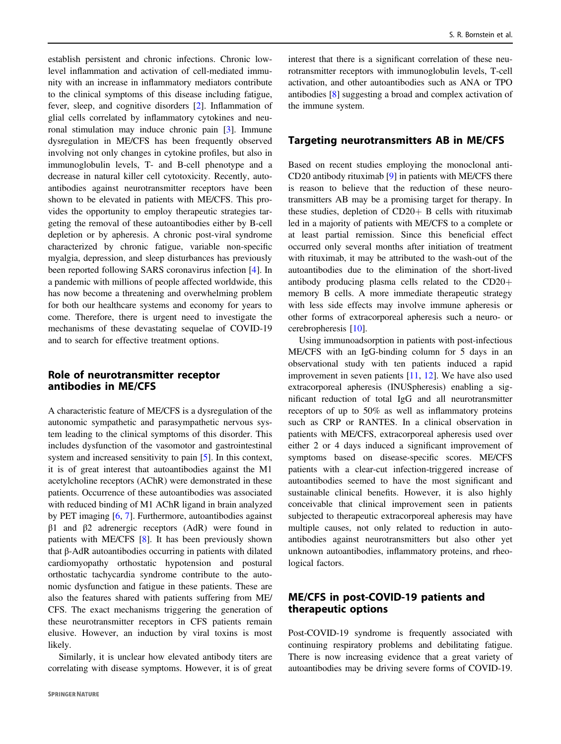establish persistent and chronic infections. Chronic lowlevel inflammation and activation of cell-mediated immunity with an increase in inflammatory mediators contribute to the clinical symptoms of this disease including fatigue, fever, sleep, and cognitive disorders [\[2](#page-2-0)]. Inflammation of glial cells correlated by inflammatory cytokines and neuronal stimulation may induce chronic pain [\[3](#page-2-0)]. Immune dysregulation in ME/CFS has been frequently observed involving not only changes in cytokine profiles, but also in immunoglobulin levels, T- and B-cell phenotype and a decrease in natural killer cell cytotoxicity. Recently, autoantibodies against neurotransmitter receptors have been shown to be elevated in patients with ME/CFS. This provides the opportunity to employ therapeutic strategies targeting the removal of these autoantibodies either by B-cell depletion or by apheresis. A chronic post-viral syndrome characterized by chronic fatigue, variable non-specific myalgia, depression, and sleep disturbances has previously been reported following SARS coronavirus infection [\[4](#page-2-0)]. In a pandemic with millions of people affected worldwide, this has now become a threatening and overwhelming problem for both our healthcare systems and economy for years to come. Therefore, there is urgent need to investigate the mechanisms of these devastating sequelae of COVID-19 and to search for effective treatment options.

# Role of neurotransmitter receptor antibodies in ME/CFS

A characteristic feature of ME/CFS is a dysregulation of the autonomic sympathetic and parasympathetic nervous system leading to the clinical symptoms of this disorder. This includes dysfunction of the vasomotor and gastrointestinal system and increased sensitivity to pain [[5\]](#page-2-0). In this context, it is of great interest that autoantibodies against the M1 acetylcholine receptors (AChR) were demonstrated in these patients. Occurrence of these autoantibodies was associated with reduced binding of M1 AChR ligand in brain analyzed by PET imaging [[6,](#page-2-0) [7\]](#page-2-0). Furthermore, autoantibodies against β1 and β2 adrenergic receptors (AdR) were found in patients with ME/CFS [[8\]](#page-3-0). It has been previously shown that β-AdR autoantibodies occurring in patients with dilated cardiomyopathy orthostatic hypotension and postural orthostatic tachycardia syndrome contribute to the autonomic dysfunction and fatigue in these patients. These are also the features shared with patients suffering from ME/ CFS. The exact mechanisms triggering the generation of these neurotransmitter receptors in CFS patients remain elusive. However, an induction by viral toxins is most likely.

Similarly, it is unclear how elevated antibody titers are correlating with disease symptoms. However, it is of great interest that there is a significant correlation of these neurotransmitter receptors with immunoglobulin levels, T-cell activation, and other autoantibodies such as ANA or TPO antibodies [[8\]](#page-3-0) suggesting a broad and complex activation of the immune system.

## Targeting neurotransmitters AB in ME/CFS

Based on recent studies employing the monoclonal anti-CD20 antibody rituximab [\[9](#page-3-0)] in patients with ME/CFS there is reason to believe that the reduction of these neurotransmitters AB may be a promising target for therapy. In these studies, depletion of CD20+ B cells with rituximab led in a majority of patients with ME/CFS to a complete or at least partial remission. Since this beneficial effect occurred only several months after initiation of treatment with rituximab, it may be attributed to the wash-out of the autoantibodies due to the elimination of the short-lived antibody producing plasma cells related to the CD20+ memory B cells. A more immediate therapeutic strategy with less side effects may involve immune apheresis or other forms of extracorporeal apheresis such a neuro- or cerebropheresis [[10\]](#page-3-0).

Using immunoadsorption in patients with post-infectious ME/CFS with an IgG-binding column for 5 days in an observational study with ten patients induced a rapid improvement in seven patients [[11,](#page-3-0) [12](#page-3-0)]. We have also used extracorporeal apheresis (INUSpheresis) enabling a significant reduction of total IgG and all neurotransmitter receptors of up to 50% as well as inflammatory proteins such as CRP or RANTES. In a clinical observation in patients with ME/CFS, extracorporeal apheresis used over either 2 or 4 days induced a significant improvement of symptoms based on disease-specific scores. ME/CFS patients with a clear-cut infection-triggered increase of autoantibodies seemed to have the most significant and sustainable clinical benefits. However, it is also highly conceivable that clinical improvement seen in patients subjected to therapeutic extracorporeal apheresis may have multiple causes, not only related to reduction in autoantibodies against neurotransmitters but also other yet unknown autoantibodies, inflammatory proteins, and rheological factors.

# ME/CFS in post-COVID-19 patients and therapeutic options

Post-COVID-19 syndrome is frequently associated with continuing respiratory problems and debilitating fatigue. There is now increasing evidence that a great variety of autoantibodies may be driving severe forms of COVID-19.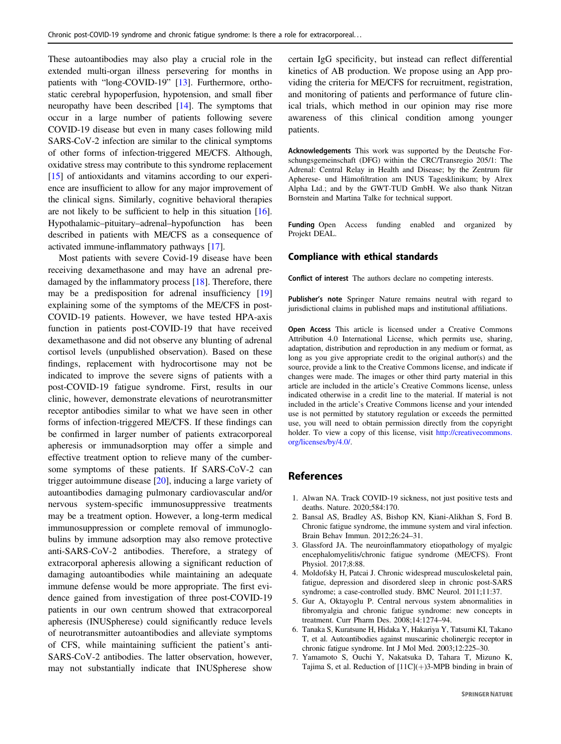<span id="page-2-0"></span>These autoantibodies may also play a crucial role in the extended multi-organ illness persevering for months in patients with "long-COVID-19" [\[13](#page-3-0)]. Furthermore, orthostatic cerebral hypoperfusion, hypotension, and small fiber neuropathy have been described [\[14](#page-3-0)]. The symptoms that occur in a large number of patients following severe COVID-19 disease but even in many cases following mild SARS-CoV-2 infection are similar to the clinical symptoms of other forms of infection-triggered ME/CFS. Although, oxidative stress may contribute to this syndrome replacement [\[15](#page-3-0)] of antioxidants and vitamins according to our experience are insufficient to allow for any major improvement of the clinical signs. Similarly, cognitive behavioral therapies are not likely to be sufficient to help in this situation [[16](#page-3-0)]. Hypothalamic–pituitary–adrenal–hypofunction has been described in patients with ME/CFS as a consequence of activated immune-inflammatory pathways [[17](#page-3-0)].

Most patients with severe Covid-19 disease have been receiving dexamethasone and may have an adrenal predamaged by the inflammatory process [\[18](#page-3-0)]. Therefore, there may be a predisposition for adrenal insufficiency [[19\]](#page-3-0) explaining some of the symptoms of the ME/CFS in post-COVID-19 patients. However, we have tested HPA-axis function in patients post-COVID-19 that have received dexamethasone and did not observe any blunting of adrenal cortisol levels (unpublished observation). Based on these findings, replacement with hydrocortisone may not be indicated to improve the severe signs of patients with a post-COVID-19 fatigue syndrome. First, results in our clinic, however, demonstrate elevations of neurotransmitter receptor antibodies similar to what we have seen in other forms of infection-triggered ME/CFS. If these findings can be confirmed in larger number of patients extracorporeal apheresis or immunadsorption may offer a simple and effective treatment option to relieve many of the cumbersome symptoms of these patients. If SARS-CoV-2 can trigger autoimmune disease [\[20](#page-3-0)], inducing a large variety of autoantibodies damaging pulmonary cardiovascular and/or nervous system-specific immunosuppressive treatments may be a treatment option. However, a long-term medical immunosuppression or complete removal of immunoglobulins by immune adsorption may also remove protective anti-SARS-CoV-2 antibodies. Therefore, a strategy of extracorporal apheresis allowing a significant reduction of damaging autoantibodies while maintaining an adequate immune defense would be more appropriate. The first evidence gained from investigation of three post-COVID-19 patients in our own centrum showed that extracorporeal apheresis (INUSpherese) could significantly reduce levels of neurotransmitter autoantibodies and alleviate symptoms of CFS, while maintaining sufficient the patient's anti-SARS-CoV-2 antibodies. The latter observation, however, may not substantially indicate that INUSpherese show

certain IgG specificity, but instead can reflect differential kinetics of AB production. We propose using an App providing the criteria for ME/CFS for recruitment, registration, and monitoring of patients and performance of future clinical trials, which method in our opinion may rise more awareness of this clinical condition among younger patients.

Acknowledgements This work was supported by the Deutsche Forschungsgemeinschaft (DFG) within the CRC/Transregio 205/1: The Adrenal: Central Relay in Health and Disease; by the Zentrum für Apherese- und Hämofiltration am INUS Tagesklinikum; by Alrex Alpha Ltd.; and by the GWT-TUD GmbH. We also thank Nitzan Bornstein and Martina Talke for technical support.

Funding Open Access funding enabled and organized by Projekt DEAL.

#### Compliance with ethical standards

Conflict of interest The authors declare no competing interests.

Publisher's note Springer Nature remains neutral with regard to jurisdictional claims in published maps and institutional affiliations.

Open Access This article is licensed under a Creative Commons Attribution 4.0 International License, which permits use, sharing, adaptation, distribution and reproduction in any medium or format, as long as you give appropriate credit to the original author(s) and the source, provide a link to the Creative Commons license, and indicate if changes were made. The images or other third party material in this article are included in the article's Creative Commons license, unless indicated otherwise in a credit line to the material. If material is not included in the article's Creative Commons license and your intended use is not permitted by statutory regulation or exceeds the permitted use, you will need to obtain permission directly from the copyright holder. To view a copy of this license, visit [http://creativecommons.](http://creativecommons.org/licenses/by/4.0/) [org/licenses/by/4.0/](http://creativecommons.org/licenses/by/4.0/).

### References

- 1. Alwan NA. Track COVID-19 sickness, not just positive tests and deaths. Nature. 2020;584:170.
- 2. Bansal AS, Bradley AS, Bishop KN, Kiani-Alikhan S, Ford B. Chronic fatigue syndrome, the immune system and viral infection. Brain Behav Immun. 2012;26:24–31.
- 3. Glassford JA. The neuroinflammatory etiopathology of myalgic encephalomyelitis/chronic fatigue syndrome (ME/CFS). Front Physiol. 2017;8:88.
- 4. Moldofsky H, Patcai J. Chronic widespread musculoskeletal pain, fatigue, depression and disordered sleep in chronic post-SARS syndrome; a case-controlled study. BMC Neurol. 2011;11:37.
- 5. Gur A, Oktayoglu P. Central nervous system abnormalities in fibromyalgia and chronic fatigue syndrome: new concepts in treatment. Curr Pharm Des. 2008;14:1274–94.
- 6. Tanaka S, Kuratsune H, Hidaka Y, Hakariya Y, Tatsumi KI, Takano T, et al. Autoantibodies against muscarinic cholinergic receptor in chronic fatigue syndrome. Int J Mol Med. 2003;12:225–30.
- 7. Yamamoto S, Ouchi Y, Nakatsuka D, Tahara T, Mizuno K, Tajima S, et al. Reduction of  $[11C](+)$ 3-MPB binding in brain of